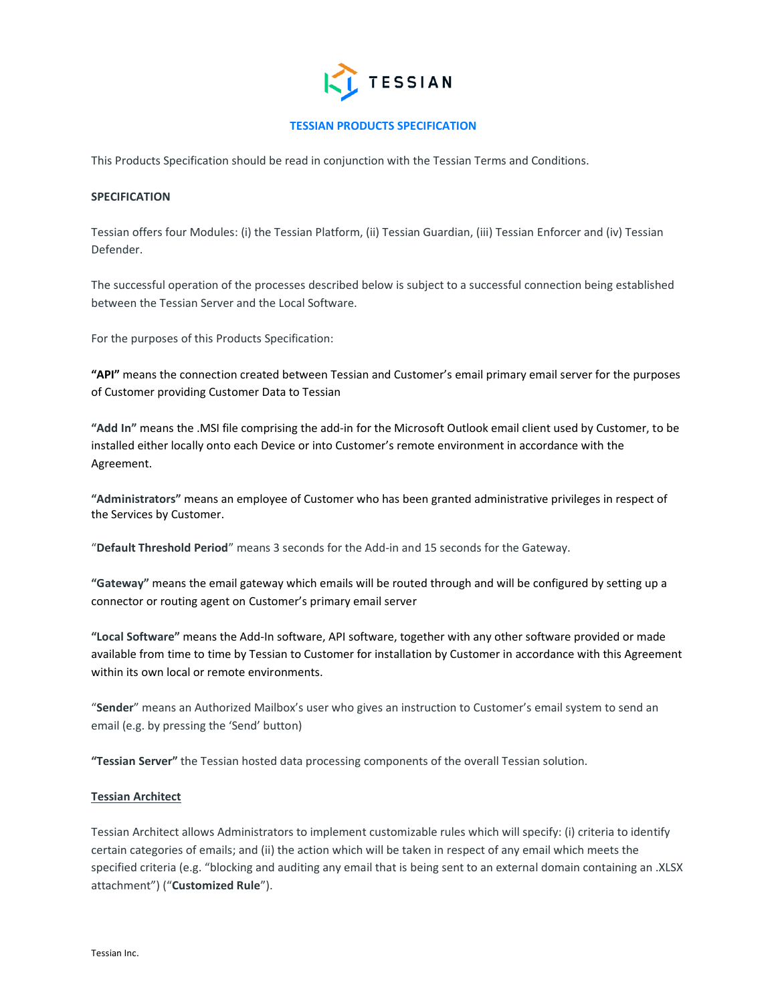

# **TESSIAN PRODUCTS SPECIFICATION**

This Products Specification should be read in conjunction with the Tessian Terms and Conditions.

### **SPECIFICATION**

Tessian offers four Modules: (i) the Tessian Platform, (ii) Tessian Guardian, (iii) Tessian Enforcer and (iv) Tessian Defender.

The successful operation of the processes described below is subject to a successful connection being established between the Tessian Server and the Local Software.

For the purposes of this Products Specification:

**"API"** means the connection created between Tessian and Customer's email primary email server for the purposes of Customer providing Customer Data to Tessian

**"Add In"** means the .MSI file comprising the add-in for the Microsoft Outlook email client used by Customer, to be installed either locally onto each Device or into Customer's remote environment in accordance with the Agreement.

**"Administrators"** means an employee of Customer who has been granted administrative privileges in respect of the Services by Customer.

"**Default Threshold Period**" means 3 seconds for the Add-in and 15 seconds for the Gateway.

**"Gateway"** means the email gateway which emails will be routed through and will be configured by setting up a connector or routing agent on Customer's primary email server

**"Local Software"** means the Add-In software, API software, together with any other software provided or made available from time to time by Tessian to Customer for installation by Customer in accordance with this Agreement within its own local or remote environments.

"**Sender**" means an Authorized Mailbox's user who gives an instruction to Customer's email system to send an email (e.g. by pressing the 'Send' button)

**"Tessian Server"** the Tessian hosted data processing components of the overall Tessian solution.

#### **Tessian Architect**

Tessian Architect allows Administrators to implement customizable rules which will specify: (i) criteria to identify certain categories of emails; and (ii) the action which will be taken in respect of any email which meets the specified criteria (e.g. "blocking and auditing any email that is being sent to an external domain containing an .XLSX attachment") ("**Customized Rule**").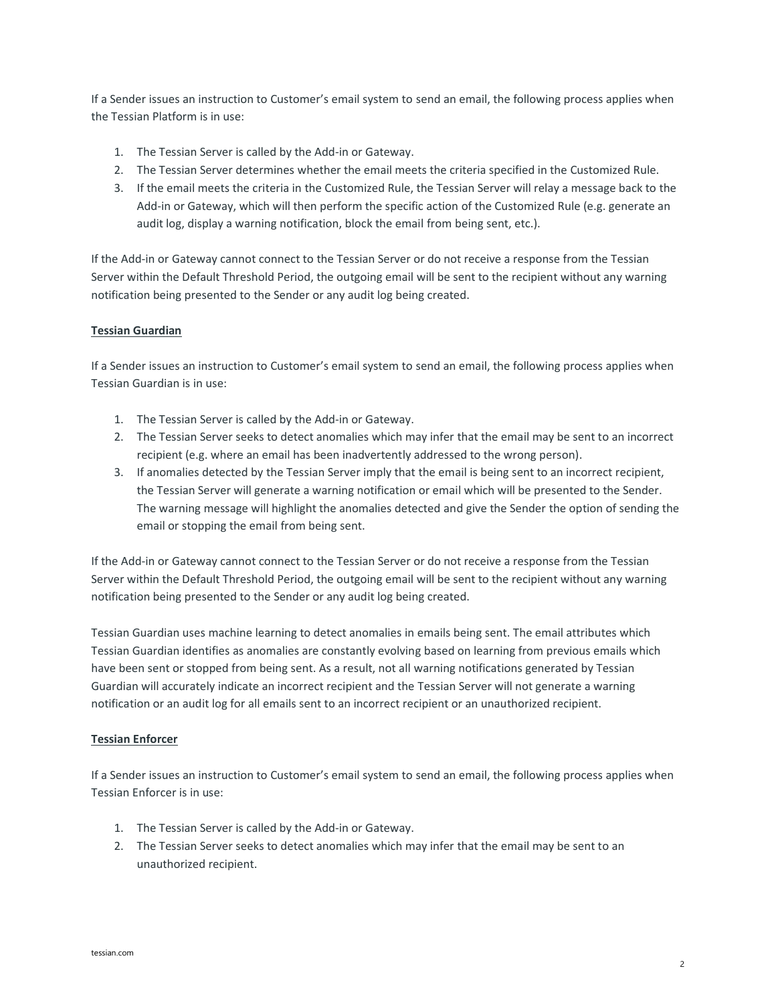If a Sender issues an instruction to Customer's email system to send an email, the following process applies when the Tessian Platform is in use:

- 1. The Tessian Server is called by the Add-in or Gateway.
- 2. The Tessian Server determines whether the email meets the criteria specified in the Customized Rule.
- 3. If the email meets the criteria in the Customized Rule, the Tessian Server will relay a message back to the Add-in or Gateway, which will then perform the specific action of the Customized Rule (e.g. generate an audit log, display a warning notification, block the email from being sent, etc.).

If the Add-in or Gateway cannot connect to the Tessian Server or do not receive a response from the Tessian Server within the Default Threshold Period, the outgoing email will be sent to the recipient without any warning notification being presented to the Sender or any audit log being created.

### **Tessian Guardian**

If a Sender issues an instruction to Customer's email system to send an email, the following process applies when Tessian Guardian is in use:

- 1. The Tessian Server is called by the Add-in or Gateway.
- 2. The Tessian Server seeks to detect anomalies which may infer that the email may be sent to an incorrect recipient (e.g. where an email has been inadvertently addressed to the wrong person).
- 3. If anomalies detected by the Tessian Server imply that the email is being sent to an incorrect recipient, the Tessian Server will generate a warning notification or email which will be presented to the Sender. The warning message will highlight the anomalies detected and give the Sender the option of sending the email or stopping the email from being sent.

If the Add-in or Gateway cannot connect to the Tessian Server or do not receive a response from the Tessian Server within the Default Threshold Period, the outgoing email will be sent to the recipient without any warning notification being presented to the Sender or any audit log being created.

Tessian Guardian uses machine learning to detect anomalies in emails being sent. The email attributes which Tessian Guardian identifies as anomalies are constantly evolving based on learning from previous emails which have been sent or stopped from being sent. As a result, not all warning notifications generated by Tessian Guardian will accurately indicate an incorrect recipient and the Tessian Server will not generate a warning notification or an audit log for all emails sent to an incorrect recipient or an unauthorized recipient.

#### **Tessian Enforcer**

If a Sender issues an instruction to Customer's email system to send an email, the following process applies when Tessian Enforcer is in use:

- 1. The Tessian Server is called by the Add-in or Gateway.
- 2. The Tessian Server seeks to detect anomalies which may infer that the email may be sent to an unauthorized recipient.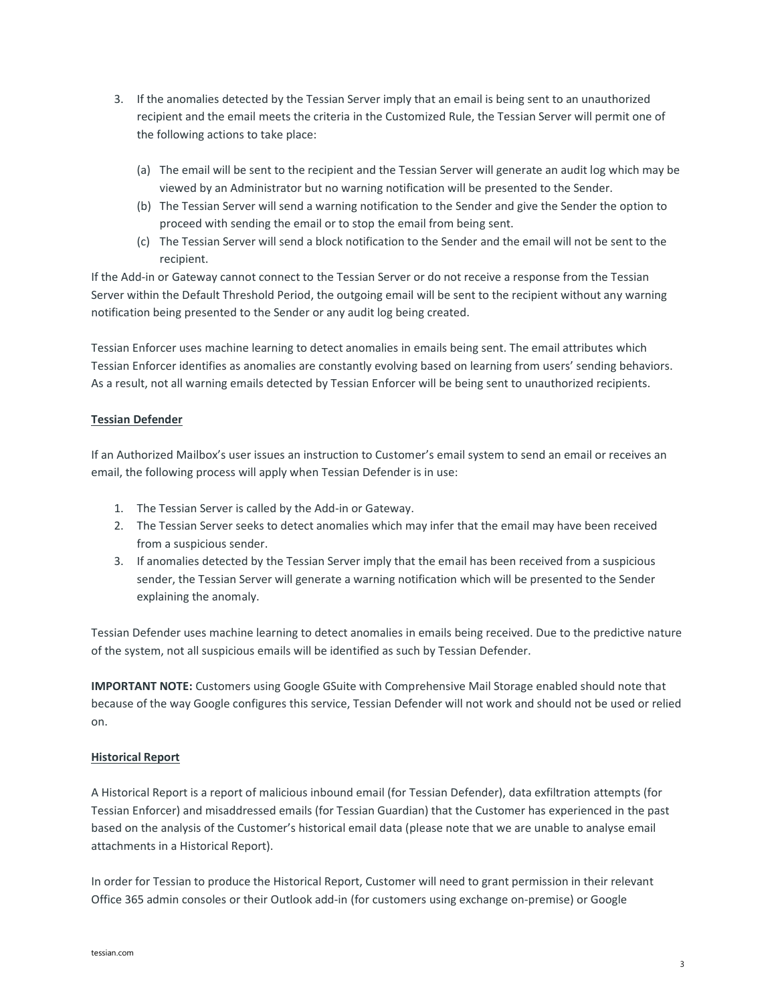- 3. If the anomalies detected by the Tessian Server imply that an email is being sent to an unauthorized recipient and the email meets the criteria in the Customized Rule, the Tessian Server will permit one of the following actions to take place:
	- (a) The email will be sent to the recipient and the Tessian Server will generate an audit log which may be viewed by an Administrator but no warning notification will be presented to the Sender.
	- (b) The Tessian Server will send a warning notification to the Sender and give the Sender the option to proceed with sending the email or to stop the email from being sent.
	- (c) The Tessian Server will send a block notification to the Sender and the email will not be sent to the recipient.

If the Add-in or Gateway cannot connect to the Tessian Server or do not receive a response from the Tessian Server within the Default Threshold Period, the outgoing email will be sent to the recipient without any warning notification being presented to the Sender or any audit log being created.

Tessian Enforcer uses machine learning to detect anomalies in emails being sent. The email attributes which Tessian Enforcer identifies as anomalies are constantly evolving based on learning from users' sending behaviors. As a result, not all warning emails detected by Tessian Enforcer will be being sent to unauthorized recipients.

## **Tessian Defender**

If an Authorized Mailbox's user issues an instruction to Customer's email system to send an email or receives an email, the following process will apply when Tessian Defender is in use:

- 1. The Tessian Server is called by the Add-in or Gateway.
- 2. The Tessian Server seeks to detect anomalies which may infer that the email may have been received from a suspicious sender.
- 3. If anomalies detected by the Tessian Server imply that the email has been received from a suspicious sender, the Tessian Server will generate a warning notification which will be presented to the Sender explaining the anomaly.

Tessian Defender uses machine learning to detect anomalies in emails being received. Due to the predictive nature of the system, not all suspicious emails will be identified as such by Tessian Defender.

**IMPORTANT NOTE:** Customers using Google GSuite with Comprehensive Mail Storage enabled should note that because of the way Google configures this service, Tessian Defender will not work and should not be used or relied on.

## **Historical Report**

A Historical Report is a report of malicious inbound email (for Tessian Defender), data exfiltration attempts (for Tessian Enforcer) and misaddressed emails (for Tessian Guardian) that the Customer has experienced in the past based on the analysis of the Customer's historical email data (please note that we are unable to analyse email attachments in a Historical Report).

In order for Tessian to produce the Historical Report, Customer will need to grant permission in their relevant Office 365 admin consoles or their Outlook add-in (for customers using exchange on-premise) or Google